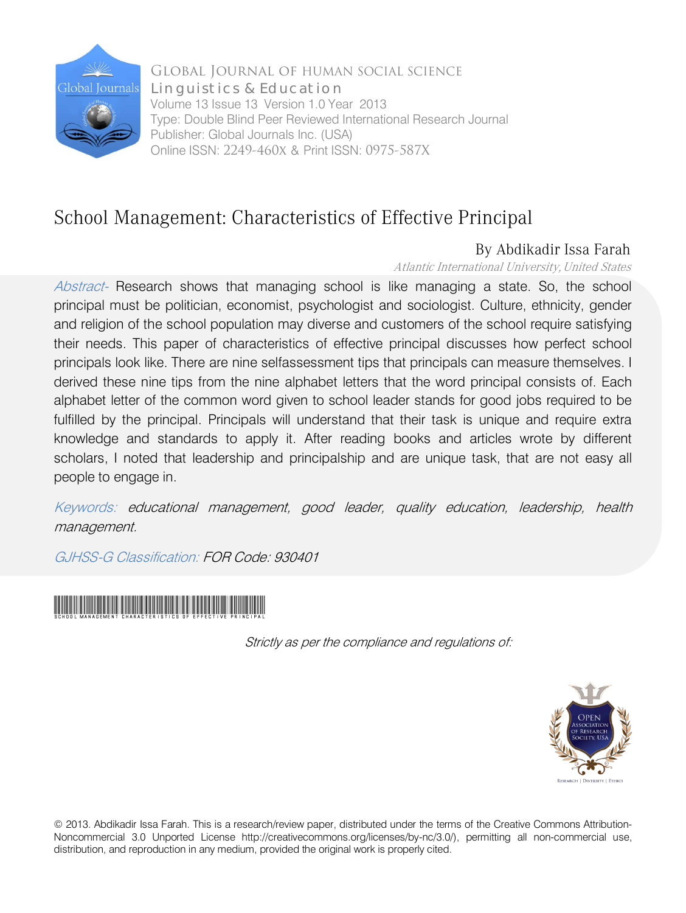

Global Journal of HUMAN SOCIAL SCIENCE Volume 13 Issue 13 Version 1.0 Year 2013 Type: Double Blind Peer Reviewed International Research Journal Publisher: Global Journals Inc. (USA) Online ISSN: 2249-460x & Print ISSN: 0975-587X Linguistics & Education

# School Management: Characteristics of Effective Principal

## By Abdikadir Issa Farah

Atlantic International University, United States

Abstract- Research shows that managing school is like managing a state. So, the school principal must be politician, economist, psychologist and sociologist. Culture, ethnicity, gender and religion of the school population may diverse and customers of the school require satisfying their needs. This paper of characteristics of effective principal discusses how perfect school principals look like. There are nine selfassessment tips that principals can measure themselves. I derived these nine tips from the nine alphabet letters that the word principal consists of. Each alphabet letter of the common word given to school leader stands for good jobs required to be fulfilled by the principal. Principals will understand that their task is unique and require extra knowledge and standards to apply it. After reading books and articles wrote by different scholars, I noted that leadership and principalship and are unique task, that are not easy all people to engage in.

Keywords: educational management, good leader, quality education, leadership, health management.

GJHSS-G Classification: FOR Code: 930401



Strictly as per the compliance and regulations of:



© 2013. Abdikadir Issa Farah. This is a research/review paper, distributed under the terms of the Creative Commons Attribution-Noncommercial 3.0 Unported License http://creativecommons.org/licenses/by-nc/3.0/), permitting all non-commercial use, distribution, and reproduction in any medium, provided the original work is properly cited.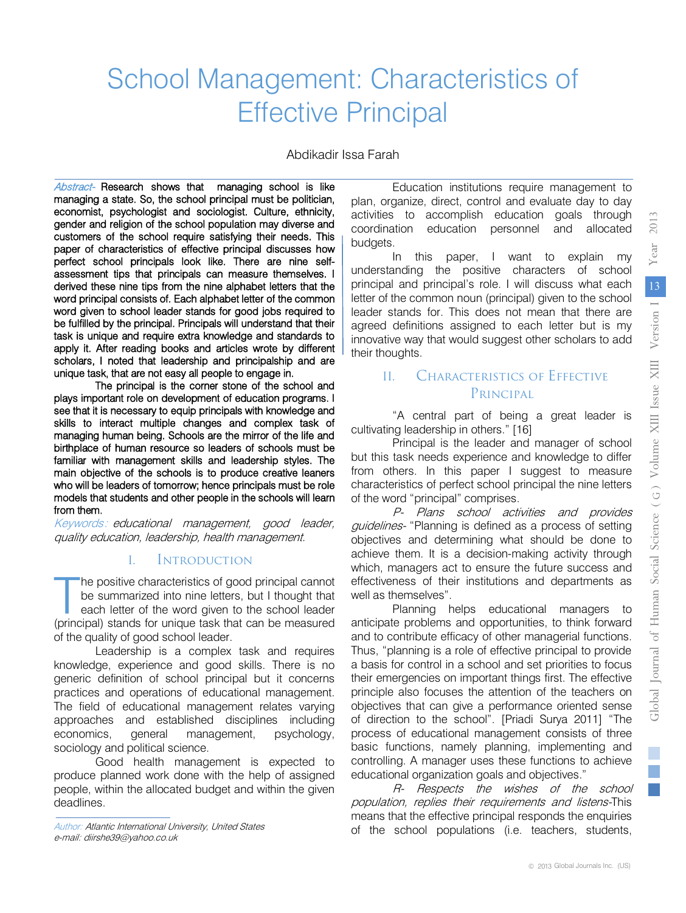# School Management: Characteristics of Effective Principal

Abdikadir Issa Farah

Abstract- Research shows that managing school is like managing a state. So, the school principal must be politician, economist, psychologist and sociologist. Culture, ethnicity, gender and religion of the school population may diverse and customers of the school require satisfying their needs. This paper of characteristics of effective principal discusses how perfect school principals look like. There are nine selfassessment tips that principals can measure themselves. I derived these nine tips from the nine alphabet letters that the word principal consists of. Each alphabet letter of the common word given to school leader stands for good jobs required to be fulfilled by the principal. Principals will understand that their task is unique and require extra knowledge and standards to apply it. After reading books and articles wrote by different scholars, I noted that leadership and principalship and are unique task, that are not easy all people to engage in.

 from them. The principal is the corner stone of the school and plays important role on development of education programs. I see that it is necessary to equip principals with knowledge and skills to interact multiple changes and complex task of managing human being. Schools are the mirror of the life and birthplace of human resource so leaders of schools must be familiar with management skills and leadership styles. The main objective of the schools is to produce creative leaners who will be leaders of tomorrow; hence principals must be role models that students and other people in the schools will learn

Keywords: educational management, good leader, quality education, leadership, health management.

#### I. Introduction

he positive characteristics of good principal cannot be summarized into nine letters, but I thought that each letter of the word given to the school leader The positive characteristics of good principal cannot<br>be summarized into nine letters, but I thought that<br>each letter of the word given to the school leader<br>(principal) stands for unique task that can be measured of the quality of good school leader.

Leadership is a complex task and requires knowledge, experience and good skills. There is no generic definition of school principal but it concerns practices and operations of educational management. The field of educational management relates varying approaches and established disciplines including economics, general management, psychology, sociology and political science.

Good health management is expected to produce planned work done with the help of assigned people, within the allocated budget and within the given deadlines.

Author: Atlantic International University, United States e-mail: diirshe39@yahoo.co.uk

Education institutions require management to plan, organize, direct, control and evaluate day to day activities to accomplish education goals through coordination education personnel and allocated budgets.

In this paper, I want to explain my understanding the positive characters of school principal and principal's role. I will discuss what each letter of the common noun (principal) given to the school leader stands for. This does not mean that there are agreed definitions assigned to each letter but is my innovative way that would suggest other scholars to add their thoughts.

### II. Characteristics of Effective PRINCIPAL

"A central part of being a great leader is cultivating leadership in others." [16]

Principal is the leader and manager of school but this task needs experience and knowledge to differ from others. In this paper I suggest to measure characteristics of perfect school principal the nine letters of the word "principal" comprises.

P- Plans school activities and provides guidelines- "Planning is defined as a process of setting objectives and determining what should be done to achieve them. It is a decision-making activity through which, managers act to ensure the future success and effectiveness of their institutions and departments as well as themselves".

Planning helps educational managers to anticipate problems and opportunities, to think forward and to contribute efficacy of other managerial functions. Thus, "planning is a role of effective principal to provide a basis for control in a school and set priorities to focus their emergencies on important things first. The effective principle also focuses the attention of the teachers on objectives that can give a performance oriented sense of direction to the school". [Priadi Surya 2011] "The process of educational management consists of three basic functions, namely planning, implementing and controlling. A manager uses these functions to achieve educational organization goals and objectives."

R- Respects the wishes of the school population, replies their requirements and listens-This means that the effective principal responds the enquiries of the school populations (i.e. teachers, students,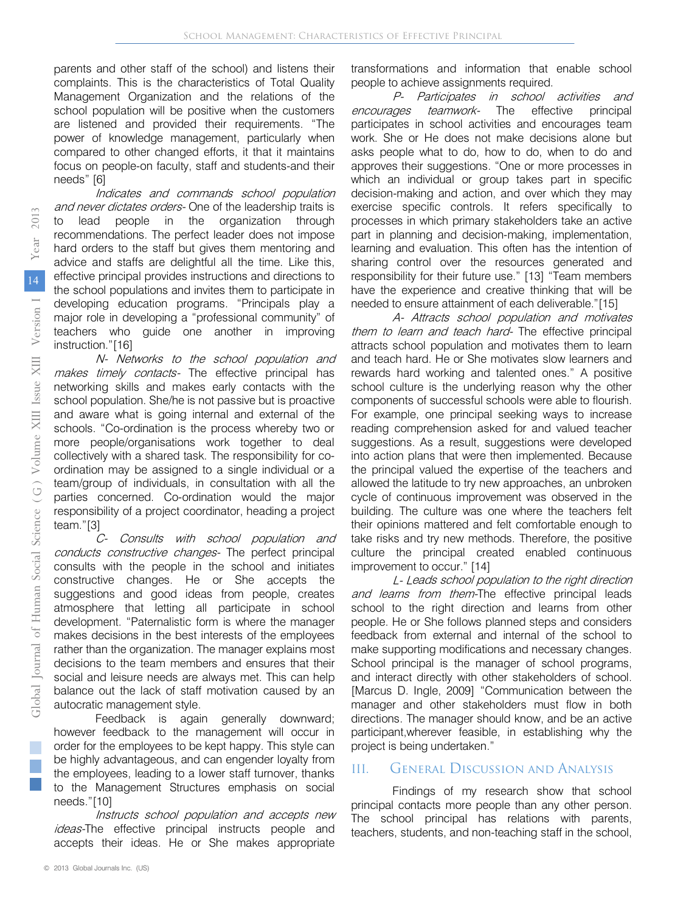parents and other staff of the school) and listens their complaints. This is the characteristics of Total Quality Management Organization and the relations of the school population will be positive when the customers are listened and provided their requirements. "The power of knowledge management, particularly when compared to other changed efforts, it that it maintains focus on people-on faculty, staff and students-and their needs" [6]

Indicates and commands school population and never dictates orders- One of the leadership traits is to lead people in the organization through recommendations. The perfect leader does not impose hard orders to the staff but gives them mentoring and advice and staffs are delightful all the time. Like this, effective principal provides instructions and directions to the school populations and invites them to participate in developing education programs. "Principals play a major role in developing a "professional community" of teachers who guide one another in improving instruction."[16]

N- Networks to the school population and makes timely contacts- The effective principal has networking skills and makes early contacts with the school population. She/he is not passive but is proactive and aware what is going internal and external of the schools. "Co-ordination is the process whereby two or more people/organisations work together to deal collectively with a shared task. The responsibility for coordination may be assigned to a single individual or a team/group of individuals, in consultation with all the parties concerned. Co-ordination would the major responsibility of a project coordinator, heading a project team."[3]

C- Consults with school population and conducts constructive changes- The perfect principal consults with the people in the school and initiates constructive changes. He or She accepts the suggestions and good ideas from people, creates atmosphere that letting all participate in school development. "Paternalistic form is where the manager makes decisions in the best interests of the employees rather than the organization. The manager explains most decisions to the team members and ensures that their social and leisure needs are always met. This can help balance out the lack of staff motivation caused by an autocratic management style.

Feedback is again generally downward; however feedback to the management will occur in order for the employees to be kept happy. This style can be highly advantageous, and can engender loyalty from the employees, leading to a lower staff turnover, thanks to the Management Structures emphasis on social needs."[10]

Instructs school population and accepts new ideas-The effective principal instructs people and accepts their ideas. He or She makes appropriate

transformations and information that enable school people to achieve assignments required.

P- Participates in school activities and encourages teamwork- The effective principal participates in school activities and encourages team work. She or He does not make decisions alone but asks people what to do, how to do, when to do and approves their suggestions. "One or more processes in which an individual or group takes part in specific decision-making and action, and over which they may exercise specific controls. It refers specifically to processes in which primary stakeholders take an active part in planning and decision-making, implementation, learning and evaluation. This often has the intention of sharing control over the resources generated and responsibility for their future use." [13] "Team members have the experience and creative thinking that will be needed to ensure attainment of each deliverable."[15]

A- Attracts school population and motivates them to learn and teach hard- The effective principal attracts school population and motivates them to learn and teach hard. He or She motivates slow learners and rewards hard working and talented ones." A positive school culture is the underlying reason why the other components of successful schools were able to flourish. For example, one principal seeking ways to increase reading comprehension asked for and valued teacher suggestions. As a result, suggestions were developed into action plans that were then implemented. Because the principal valued the expertise of the teachers and allowed the latitude to try new approaches, an unbroken cycle of continuous improvement was observed in the building. The culture was one where the teachers felt their opinions mattered and felt comfortable enough to take risks and try new methods. Therefore, the positive culture the principal created enabled continuous improvement to occur." [14]

L- Leads school population to the right direction and learns from them-The effective principal leads school to the right direction and learns from other people. He or She follows planned steps and considers feedback from external and internal of the school to make supporting modifications and necessary changes. School principal is the manager of school programs, and interact directly with other stakeholders of school. [Marcus D. Ingle, 2009] "Communication between the manager and other stakeholders must flow in both directions. The manager should know, and be an active participant,wherever feasible, in establishing why the project is being undertaken."

#### III. General Discussion and Analysis

Findings of my research show that school principal contacts more people than any other person. The school principal has relations with parents, teachers, students, and non-teaching staff in the school,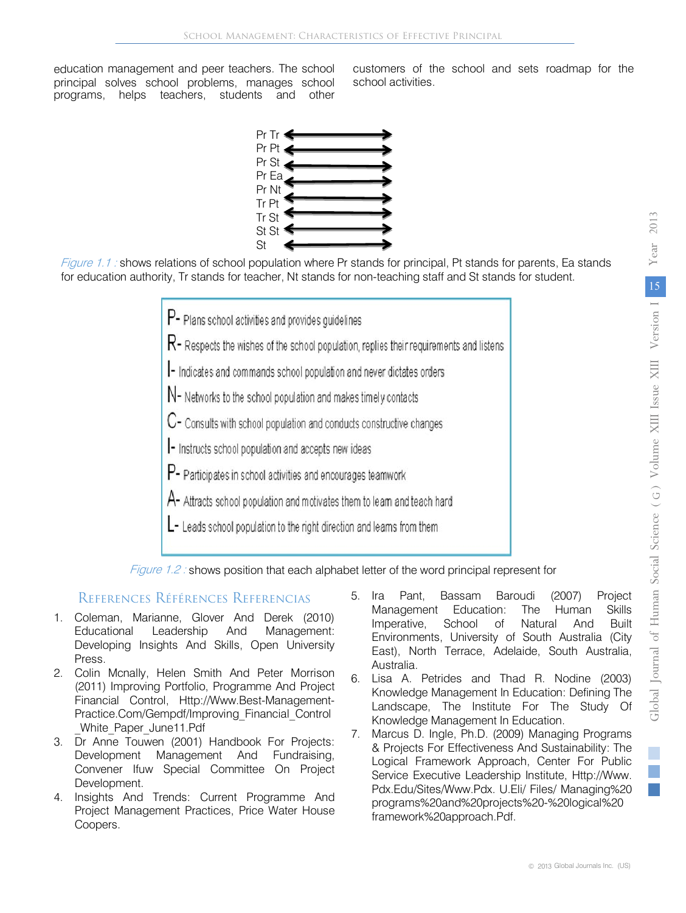education management and peer teachers. The school principal solves school problems, manages school programs, helps teachers, students and other

customers of the school and sets roadmap for the school activities.



Figure 1.1 : shows relations of school population where Pr stands for principal, Pt stands for parents, Ea stands for education authority, Tr stands for teacher, Nt stands for non-teaching staff and St stands for student.

- P- Plans school activities and provides quidelines
- $R$  Respects the wishes of the school population, replies their requirements and listens
- I- Indicates and commands school population and never dictates orders
- N- Networks to the school population and makes timely contacts
- C- Consults with school population and conducts constructive changes
- Instructs school population and accepts new ideas
- P- Participates in school activities and encourages teamwork
- A- Attracts school population and motivates them to leam and teach hard
- L- Leads school population to the right direction and leams from them



#### References Références Referencias

- 1. Coleman, Marianne, Glover And Derek (2010) Educational Leadership And Management: Developing Insights And Skills, Open University Press.
- 2. Colin Mcnally, Helen Smith And Peter Morrison (2011) Improving Portfolio, Programme And Project Financial Control, Http://Www.Best-Management-Practice.Com/Gempdf/Improving\_Financial\_Control \_White\_Paper\_June11.Pdf
- 3. Dr Anne Touwen (2001) Handbook For Projects: Development Management And Fundraising, Convener Ifuw Special Committee On Project Development.
- 4. Insights And Trends: Current Programme And Project Management Practices, Price Water House Coopers.
- 5. Ira Pant, Bassam Baroudi (2007) Project Management Education: The Human Skills Imperative, School of Natural And Built Environments, University of South Australia (City East), North Terrace, Adelaide, South Australia, Australia.
- 6. Lisa A. Petrides and Thad R. Nodine (2003) Knowledge Management In Education: Defining The Landscape, The Institute For The Study Of Knowledge Management In Education.
- 7. Marcus D. Ingle, Ph.D. (2009) Managing Programs & Projects For Effectiveness And Sustainability: The Logical Framework Approach, Center For Public Service Executive Leadership Institute, Http://Www. Pdx.Edu/Sites/Www.Pdx. U.Eli/ Files/ Managing%20 programs%20and%20projects%20-%20logical%20 framework%20approach.Pdf.